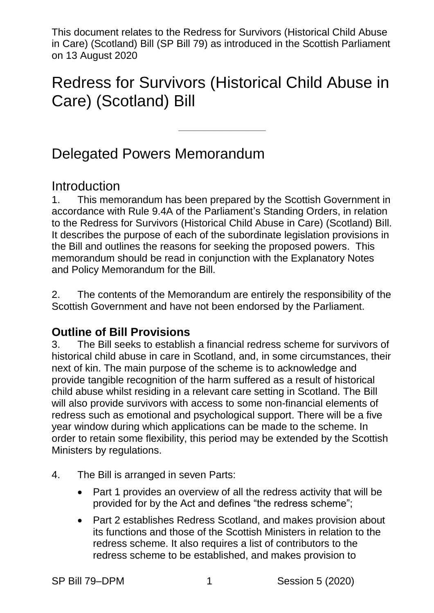Redress for Survivors (Historical Child Abuse in Care) (Scotland) Bill

 $\frac{1}{\sqrt{2}}$ 

## Delegated Powers Memorandum

#### Introduction

1. This memorandum has been prepared by the Scottish Government in accordance with Rule 9.4A of the Parliament's Standing Orders, in relation to the Redress for Survivors (Historical Child Abuse in Care) (Scotland) Bill. It describes the purpose of each of the subordinate legislation provisions in the Bill and outlines the reasons for seeking the proposed powers. This memorandum should be read in conjunction with the Explanatory Notes and Policy Memorandum for the Bill.

2. The contents of the Memorandum are entirely the responsibility of the Scottish Government and have not been endorsed by the Parliament.

#### **Outline of Bill Provisions**

3. The Bill seeks to establish a financial redress scheme for survivors of historical child abuse in care in Scotland, and, in some circumstances, their next of kin. The main purpose of the scheme is to acknowledge and provide tangible recognition of the harm suffered as a result of historical child abuse whilst residing in a relevant care setting in Scotland. The Bill will also provide survivors with access to some non-financial elements of redress such as emotional and psychological support. There will be a five year window during which applications can be made to the scheme. In order to retain some flexibility, this period may be extended by the Scottish Ministers by regulations.

- 4. The Bill is arranged in seven Parts:
	- Part 1 provides an overview of all the redress activity that will be provided for by the Act and defines "the redress scheme";
	- Part 2 establishes Redress Scotland, and makes provision about its functions and those of the Scottish Ministers in relation to the redress scheme. It also requires a list of contributors to the redress scheme to be established, and makes provision to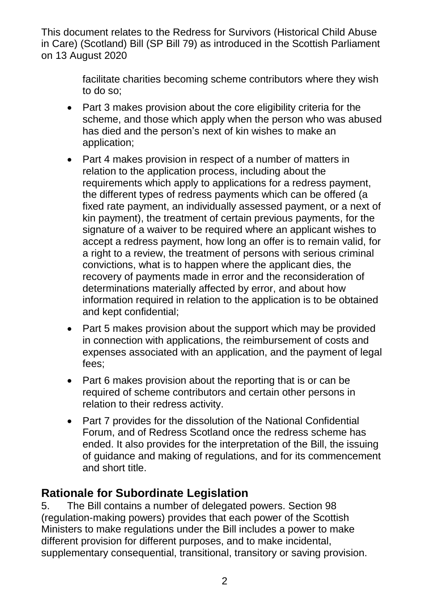> facilitate charities becoming scheme contributors where they wish to do so;

- Part 3 makes provision about the core eligibility criteria for the scheme, and those which apply when the person who was abused has died and the person's next of kin wishes to make an application;
- Part 4 makes provision in respect of a number of matters in relation to the application process, including about the requirements which apply to applications for a redress payment, the different types of redress payments which can be offered (a fixed rate payment, an individually assessed payment, or a next of kin payment), the treatment of certain previous payments, for the signature of a waiver to be required where an applicant wishes to accept a redress payment, how long an offer is to remain valid, for a right to a review, the treatment of persons with serious criminal convictions, what is to happen where the applicant dies, the recovery of payments made in error and the reconsideration of determinations materially affected by error, and about how information required in relation to the application is to be obtained and kept confidential;
- Part 5 makes provision about the support which may be provided in connection with applications, the reimbursement of costs and expenses associated with an application, and the payment of legal fees;
- Part 6 makes provision about the reporting that is or can be required of scheme contributors and certain other persons in relation to their redress activity.
- Part 7 provides for the dissolution of the National Confidential Forum, and of Redress Scotland once the redress scheme has ended. It also provides for the interpretation of the Bill, the issuing of guidance and making of regulations, and for its commencement and short title.

#### **Rationale for Subordinate Legislation**

5. The Bill contains a number of delegated powers. Section 98 (regulation-making powers) provides that each power of the Scottish Ministers to make regulations under the Bill includes a power to make different provision for different purposes, and to make incidental, supplementary consequential, transitional, transitory or saving provision.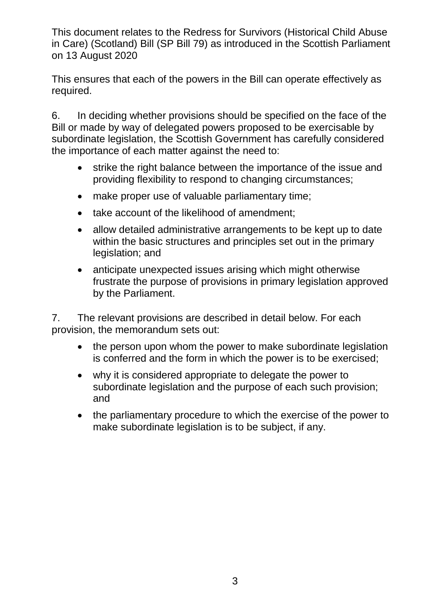This ensures that each of the powers in the Bill can operate effectively as required.

6. In deciding whether provisions should be specified on the face of the Bill or made by way of delegated powers proposed to be exercisable by subordinate legislation, the Scottish Government has carefully considered the importance of each matter against the need to:

- strike the right balance between the importance of the issue and providing flexibility to respond to changing circumstances;
- make proper use of valuable parliamentary time;
- take account of the likelihood of amendment;
- allow detailed administrative arrangements to be kept up to date within the basic structures and principles set out in the primary legislation; and
- anticipate unexpected issues arising which might otherwise frustrate the purpose of provisions in primary legislation approved by the Parliament.

7. The relevant provisions are described in detail below. For each provision, the memorandum sets out:

- the person upon whom the power to make subordinate legislation is conferred and the form in which the power is to be exercised;
- why it is considered appropriate to delegate the power to subordinate legislation and the purpose of each such provision; and
- the parliamentary procedure to which the exercise of the power to make subordinate legislation is to be subject, if any.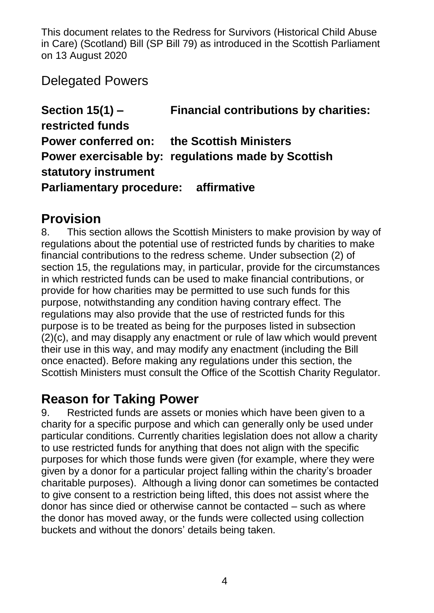Delegated Powers

**Section 15(1) – Financial contributions by charities: restricted funds Power conferred on: the Scottish Ministers Power exercisable by: regulations made by Scottish statutory instrument Parliamentary procedure: affirmative**

#### **Provision**

8. This section allows the Scottish Ministers to make provision by way of regulations about the potential use of restricted funds by charities to make financial contributions to the redress scheme. Under subsection (2) of section 15, the regulations may, in particular, provide for the circumstances in which restricted funds can be used to make financial contributions, or provide for how charities may be permitted to use such funds for this purpose, notwithstanding any condition having contrary effect. The regulations may also provide that the use of restricted funds for this purpose is to be treated as being for the purposes listed in subsection (2)(c), and may disapply any enactment or rule of law which would prevent their use in this way, and may modify any enactment (including the Bill once enacted). Before making any regulations under this section, the Scottish Ministers must consult the Office of the Scottish Charity Regulator.

## **Reason for Taking Power**

9. Restricted funds are assets or monies which have been given to a charity for a specific purpose and which can generally only be used under particular conditions. Currently charities legislation does not allow a charity to use restricted funds for anything that does not align with the specific purposes for which those funds were given (for example, where they were given by a donor for a particular project falling within the charity's broader charitable purposes). Although a living donor can sometimes be contacted to give consent to a restriction being lifted, this does not assist where the donor has since died or otherwise cannot be contacted – such as where the donor has moved away, or the funds were collected using collection buckets and without the donors' details being taken.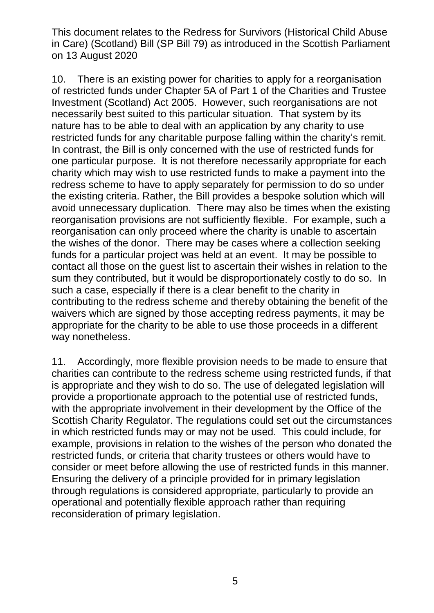10. There is an existing power for charities to apply for a reorganisation of restricted funds under Chapter 5A of Part 1 of the Charities and Trustee Investment (Scotland) Act 2005. However, such reorganisations are not necessarily best suited to this particular situation. That system by its nature has to be able to deal with an application by any charity to use restricted funds for any charitable purpose falling within the charity's remit. In contrast, the Bill is only concerned with the use of restricted funds for one particular purpose. It is not therefore necessarily appropriate for each charity which may wish to use restricted funds to make a payment into the redress scheme to have to apply separately for permission to do so under the existing criteria. Rather, the Bill provides a bespoke solution which will avoid unnecessary duplication. There may also be times when the existing reorganisation provisions are not sufficiently flexible. For example, such a reorganisation can only proceed where the charity is unable to ascertain the wishes of the donor. There may be cases where a collection seeking funds for a particular project was held at an event. It may be possible to contact all those on the guest list to ascertain their wishes in relation to the sum they contributed, but it would be disproportionately costly to do so. In such a case, especially if there is a clear benefit to the charity in contributing to the redress scheme and thereby obtaining the benefit of the waivers which are signed by those accepting redress payments, it may be appropriate for the charity to be able to use those proceeds in a different way nonetheless.

11. Accordingly, more flexible provision needs to be made to ensure that charities can contribute to the redress scheme using restricted funds, if that is appropriate and they wish to do so. The use of delegated legislation will provide a proportionate approach to the potential use of restricted funds, with the appropriate involvement in their development by the Office of the Scottish Charity Regulator. The regulations could set out the circumstances in which restricted funds may or may not be used. This could include, for example, provisions in relation to the wishes of the person who donated the restricted funds, or criteria that charity trustees or others would have to consider or meet before allowing the use of restricted funds in this manner. Ensuring the delivery of a principle provided for in primary legislation through regulations is considered appropriate, particularly to provide an operational and potentially flexible approach rather than requiring reconsideration of primary legislation.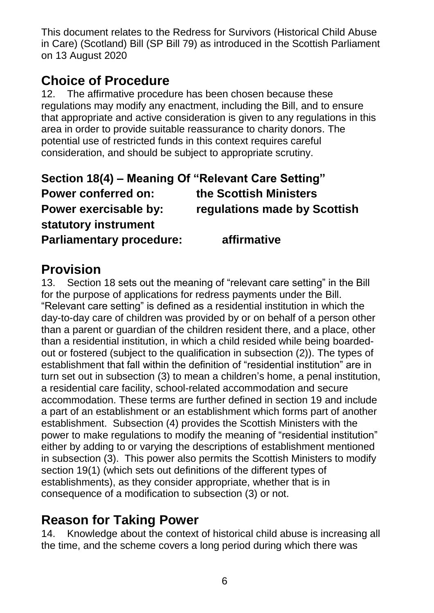## **Choice of Procedure**

12. The affirmative procedure has been chosen because these regulations may modify any enactment, including the Bill, and to ensure that appropriate and active consideration is given to any regulations in this area in order to provide suitable reassurance to charity donors. The potential use of restricted funds in this context requires careful consideration, and should be subject to appropriate scrutiny.

| Section 18(4) – Meaning Of "Relevant Care Setting" |                              |
|----------------------------------------------------|------------------------------|
| <b>Power conferred on:</b>                         | the Scottish Ministers       |
| Power exercisable by:                              | regulations made by Scottish |
| statutory instrument                               |                              |
| <b>Parliamentary procedure:</b>                    | affirmative                  |

#### **Provision**

13. Section 18 sets out the meaning of "relevant care setting" in the Bill for the purpose of applications for redress payments under the Bill. "Relevant care setting" is defined as a residential institution in which the day-to-day care of children was provided by or on behalf of a person other than a parent or guardian of the children resident there, and a place, other than a residential institution, in which a child resided while being boardedout or fostered (subject to the qualification in subsection (2)). The types of establishment that fall within the definition of "residential institution" are in turn set out in subsection (3) to mean a children's home, a penal institution, a residential care facility, school-related accommodation and secure accommodation. These terms are further defined in section 19 and include a part of an establishment or an establishment which forms part of another establishment. Subsection (4) provides the Scottish Ministers with the power to make regulations to modify the meaning of "residential institution" either by adding to or varying the descriptions of establishment mentioned in subsection (3). This power also permits the Scottish Ministers to modify section 19(1) (which sets out definitions of the different types of establishments), as they consider appropriate, whether that is in consequence of a modification to subsection (3) or not.

## **Reason for Taking Power**

14. Knowledge about the context of historical child abuse is increasing all the time, and the scheme covers a long period during which there was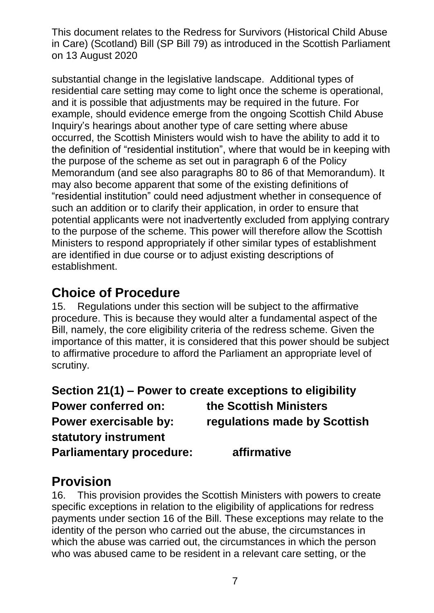substantial change in the legislative landscape. Additional types of residential care setting may come to light once the scheme is operational, and it is possible that adjustments may be required in the future. For example, should evidence emerge from the ongoing Scottish Child Abuse Inquiry's hearings about another type of care setting where abuse occurred, the Scottish Ministers would wish to have the ability to add it to the definition of "residential institution", where that would be in keeping with the purpose of the scheme as set out in paragraph 6 of the Policy Memorandum (and see also paragraphs 80 to 86 of that Memorandum). It may also become apparent that some of the existing definitions of "residential institution" could need adjustment whether in consequence of such an addition or to clarify their application, in order to ensure that potential applicants were not inadvertently excluded from applying contrary to the purpose of the scheme. This power will therefore allow the Scottish Ministers to respond appropriately if other similar types of establishment are identified in due course or to adjust existing descriptions of establishment.

#### **Choice of Procedure**

15. Regulations under this section will be subject to the affirmative procedure. This is because they would alter a fundamental aspect of the Bill, namely, the core eligibility criteria of the redress scheme. Given the importance of this matter, it is considered that this power should be subject to affirmative procedure to afford the Parliament an appropriate level of scrutiny.

|                                 | Section 21(1) – Power to create exceptions to eligibility |
|---------------------------------|-----------------------------------------------------------|
| <b>Power conferred on:</b>      | the Scottish Ministers                                    |
| Power exercisable by:           | regulations made by Scottish                              |
| statutory instrument            |                                                           |
| <b>Parliamentary procedure:</b> | affirmative                                               |

### **Provision**

16. This provision provides the Scottish Ministers with powers to create specific exceptions in relation to the eligibility of applications for redress payments under section 16 of the Bill. These exceptions may relate to the identity of the person who carried out the abuse, the circumstances in which the abuse was carried out, the circumstances in which the person who was abused came to be resident in a relevant care setting, or the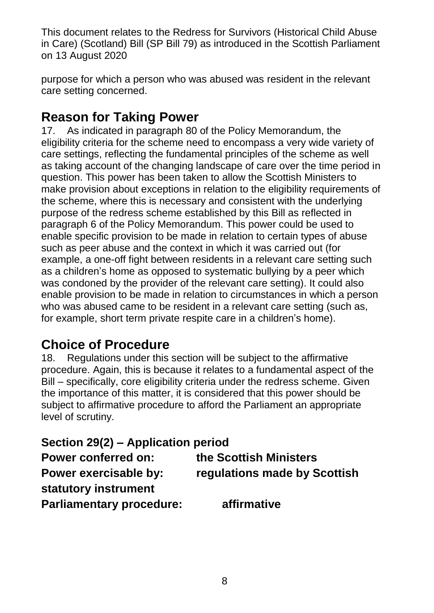purpose for which a person who was abused was resident in the relevant care setting concerned.

#### **Reason for Taking Power**

17. As indicated in paragraph 80 of the Policy Memorandum, the eligibility criteria for the scheme need to encompass a very wide variety of care settings, reflecting the fundamental principles of the scheme as well as taking account of the changing landscape of care over the time period in question. This power has been taken to allow the Scottish Ministers to make provision about exceptions in relation to the eligibility requirements of the scheme, where this is necessary and consistent with the underlying purpose of the redress scheme established by this Bill as reflected in paragraph 6 of the Policy Memorandum. This power could be used to enable specific provision to be made in relation to certain types of abuse such as peer abuse and the context in which it was carried out (for example, a one-off fight between residents in a relevant care setting such as a children's home as opposed to systematic bullying by a peer which was condoned by the provider of the relevant care setting). It could also enable provision to be made in relation to circumstances in which a person who was abused came to be resident in a relevant care setting (such as, for example, short term private respite care in a children's home).

### **Choice of Procedure**

18. Regulations under this section will be subject to the affirmative procedure. Again, this is because it relates to a fundamental aspect of the Bill – specifically, core eligibility criteria under the redress scheme. Given the importance of this matter, it is considered that this power should be subject to affirmative procedure to afford the Parliament an appropriate level of scrutiny.

| Section 29(2) - Application period |                              |
|------------------------------------|------------------------------|
| <b>Power conferred on:</b>         | the Scottish Ministers       |
| Power exercisable by:              | regulations made by Scottish |
| statutory instrument               |                              |
| <b>Parliamentary procedure:</b>    | affirmative                  |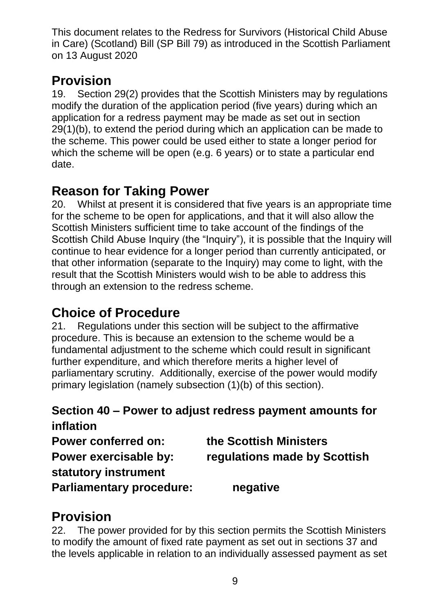## **Provision**

19. Section 29(2) provides that the Scottish Ministers may by regulations modify the duration of the application period (five years) during which an application for a redress payment may be made as set out in section 29(1)(b), to extend the period during which an application can be made to the scheme. This power could be used either to state a longer period for which the scheme will be open (e.g. 6 years) or to state a particular end date.

## **Reason for Taking Power**

20. Whilst at present it is considered that five years is an appropriate time for the scheme to be open for applications, and that it will also allow the Scottish Ministers sufficient time to take account of the findings of the Scottish Child Abuse Inquiry (the "Inquiry"), it is possible that the Inquiry will continue to hear evidence for a longer period than currently anticipated, or that other information (separate to the Inquiry) may come to light, with the result that the Scottish Ministers would wish to be able to address this through an extension to the redress scheme.

## **Choice of Procedure**

21. Regulations under this section will be subject to the affirmative procedure. This is because an extension to the scheme would be a fundamental adjustment to the scheme which could result in significant further expenditure, and which therefore merits a higher level of parliamentary scrutiny. Additionally, exercise of the power would modify primary legislation (namely subsection (1)(b) of this section).

#### **Section 40 – Power to adjust redress payment amounts for inflation**

**Power conferred on: the Scottish Ministers Power exercisable by: regulations made by Scottish statutory instrument Parliamentary procedure: negative**

## **Provision**

22. The power provided for by this section permits the Scottish Ministers to modify the amount of fixed rate payment as set out in sections 37 and the levels applicable in relation to an individually assessed payment as set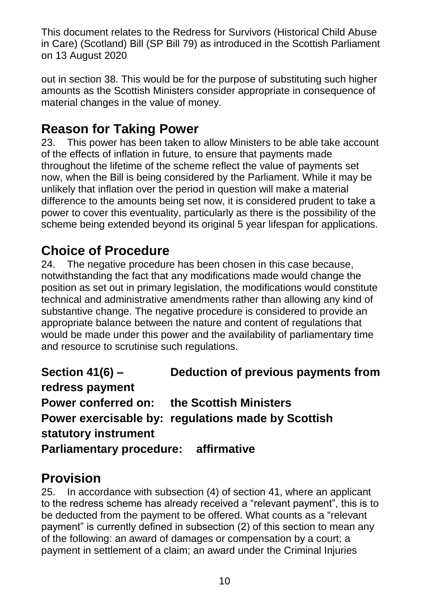out in section 38. This would be for the purpose of substituting such higher amounts as the Scottish Ministers consider appropriate in consequence of material changes in the value of money.

### **Reason for Taking Power**

23. This power has been taken to allow Ministers to be able take account of the effects of inflation in future, to ensure that payments made throughout the lifetime of the scheme reflect the value of payments set now, when the Bill is being considered by the Parliament. While it may be unlikely that inflation over the period in question will make a material difference to the amounts being set now, it is considered prudent to take a power to cover this eventuality, particularly as there is the possibility of the scheme being extended beyond its original 5 year lifespan for applications.

#### **Choice of Procedure**

24. The negative procedure has been chosen in this case because, notwithstanding the fact that any modifications made would change the position as set out in primary legislation, the modifications would constitute technical and administrative amendments rather than allowing any kind of substantive change. The negative procedure is considered to provide an appropriate balance between the nature and content of regulations that would be made under this power and the availability of parliamentary time and resource to scrutinise such regulations.

**Section 41(6) – Deduction of previous payments from redress payment Power conferred on: the Scottish Ministers Power exercisable by: regulations made by Scottish statutory instrument Parliamentary procedure: affirmative**

#### **Provision**

25. In accordance with subsection (4) of section 41, where an applicant to the redress scheme has already received a "relevant payment", this is to be deducted from the payment to be offered. What counts as a "relevant payment" is currently defined in subsection (2) of this section to mean any of the following: an award of damages or compensation by a court; a payment in settlement of a claim; an award under the Criminal Injuries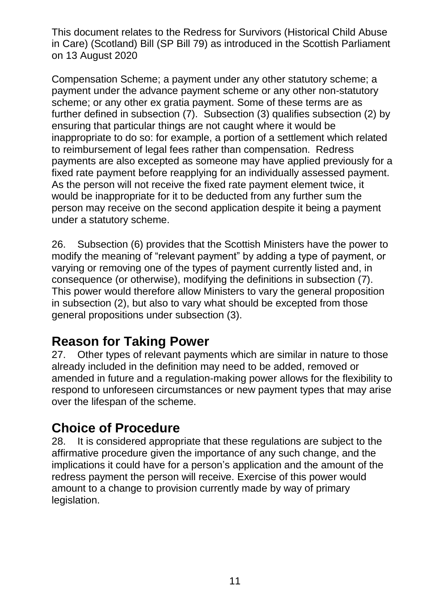Compensation Scheme; a payment under any other statutory scheme; a payment under the advance payment scheme or any other non-statutory scheme; or any other ex gratia payment. Some of these terms are as further defined in subsection (7). Subsection (3) qualifies subsection (2) by ensuring that particular things are not caught where it would be inappropriate to do so: for example, a portion of a settlement which related to reimbursement of legal fees rather than compensation. Redress payments are also excepted as someone may have applied previously for a fixed rate payment before reapplying for an individually assessed payment. As the person will not receive the fixed rate payment element twice, it would be inappropriate for it to be deducted from any further sum the person may receive on the second application despite it being a payment under a statutory scheme.

26. Subsection (6) provides that the Scottish Ministers have the power to modify the meaning of "relevant payment" by adding a type of payment, or varying or removing one of the types of payment currently listed and, in consequence (or otherwise), modifying the definitions in subsection (7). This power would therefore allow Ministers to vary the general proposition in subsection (2), but also to vary what should be excepted from those general propositions under subsection (3).

### **Reason for Taking Power**

27. Other types of relevant payments which are similar in nature to those already included in the definition may need to be added, removed or amended in future and a regulation-making power allows for the flexibility to respond to unforeseen circumstances or new payment types that may arise over the lifespan of the scheme.

### **Choice of Procedure**

28. It is considered appropriate that these regulations are subject to the affirmative procedure given the importance of any such change, and the implications it could have for a person's application and the amount of the redress payment the person will receive. Exercise of this power would amount to a change to provision currently made by way of primary legislation.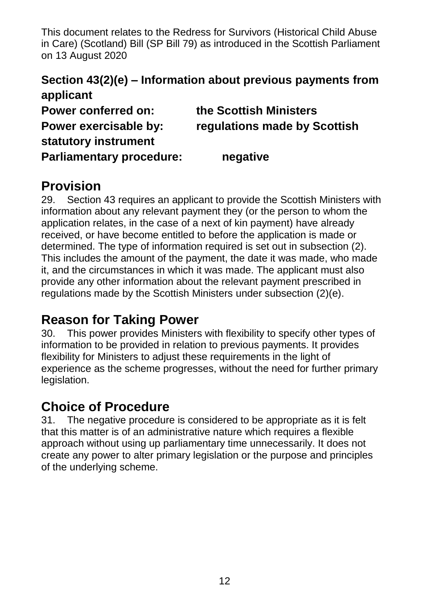#### **Section 43(2)(e) – Information about previous payments from applicant**

**Power conferred on: the Scottish Ministers Power exercisable by: regulations made by Scottish statutory instrument Parliamentary procedure: negative**

#### **Provision**

29. Section 43 requires an applicant to provide the Scottish Ministers with information about any relevant payment they (or the person to whom the application relates, in the case of a next of kin payment) have already received, or have become entitled to before the application is made or determined. The type of information required is set out in subsection (2). This includes the amount of the payment, the date it was made, who made it, and the circumstances in which it was made. The applicant must also provide any other information about the relevant payment prescribed in regulations made by the Scottish Ministers under subsection (2)(e).

## **Reason for Taking Power**

30. This power provides Ministers with flexibility to specify other types of information to be provided in relation to previous payments. It provides flexibility for Ministers to adjust these requirements in the light of experience as the scheme progresses, without the need for further primary legislation.

### **Choice of Procedure**

31. The negative procedure is considered to be appropriate as it is felt that this matter is of an administrative nature which requires a flexible approach without using up parliamentary time unnecessarily. It does not create any power to alter primary legislation or the purpose and principles of the underlying scheme.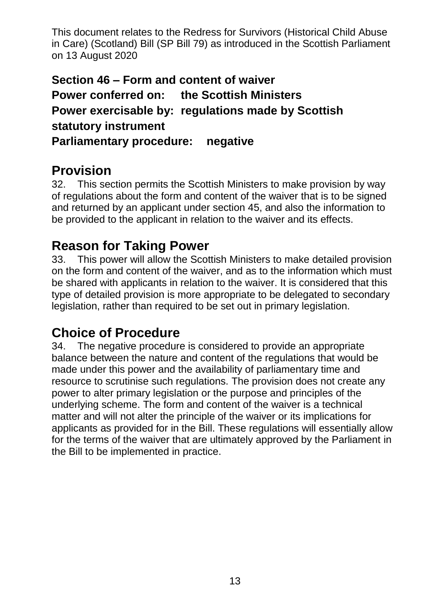**Section 46 – Form and content of waiver Power conferred on: the Scottish Ministers Power exercisable by: regulations made by Scottish statutory instrument Parliamentary procedure: negative**

### **Provision**

32. This section permits the Scottish Ministers to make provision by way of regulations about the form and content of the waiver that is to be signed and returned by an applicant under section 45, and also the information to be provided to the applicant in relation to the waiver and its effects.

#### **Reason for Taking Power**

33. This power will allow the Scottish Ministers to make detailed provision on the form and content of the waiver, and as to the information which must be shared with applicants in relation to the waiver. It is considered that this type of detailed provision is more appropriate to be delegated to secondary legislation, rather than required to be set out in primary legislation.

### **Choice of Procedure**

34. The negative procedure is considered to provide an appropriate balance between the nature and content of the regulations that would be made under this power and the availability of parliamentary time and resource to scrutinise such regulations. The provision does not create any power to alter primary legislation or the purpose and principles of the underlying scheme. The form and content of the waiver is a technical matter and will not alter the principle of the waiver or its implications for applicants as provided for in the Bill. These regulations will essentially allow for the terms of the waiver that are ultimately approved by the Parliament in the Bill to be implemented in practice.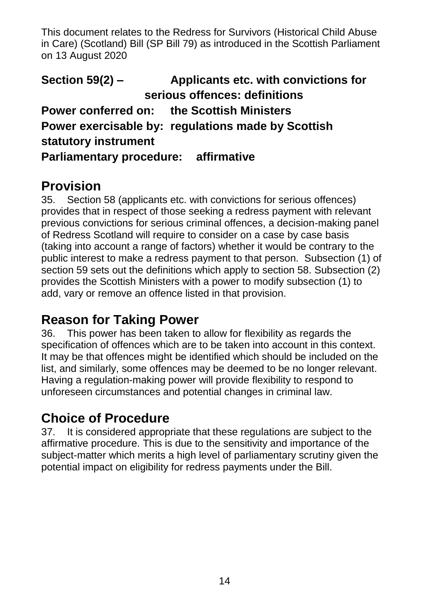**Section 59(2) – Applicants etc. with convictions for serious offences: definitions Power conferred on: the Scottish Ministers Power exercisable by: regulations made by Scottish statutory instrument Parliamentary procedure: affirmative**

### **Provision**

35. Section 58 (applicants etc. with convictions for serious offences) provides that in respect of those seeking a redress payment with relevant previous convictions for serious criminal offences, a decision-making panel of Redress Scotland will require to consider on a case by case basis (taking into account a range of factors) whether it would be contrary to the public interest to make a redress payment to that person. Subsection (1) of section 59 sets out the definitions which apply to section 58. Subsection (2) provides the Scottish Ministers with a power to modify subsection (1) to add, vary or remove an offence listed in that provision.

#### **Reason for Taking Power**

36. This power has been taken to allow for flexibility as regards the specification of offences which are to be taken into account in this context. It may be that offences might be identified which should be included on the list, and similarly, some offences may be deemed to be no longer relevant. Having a regulation-making power will provide flexibility to respond to unforeseen circumstances and potential changes in criminal law.

### **Choice of Procedure**

37. It is considered appropriate that these regulations are subject to the affirmative procedure. This is due to the sensitivity and importance of the subject-matter which merits a high level of parliamentary scrutiny given the potential impact on eligibility for redress payments under the Bill.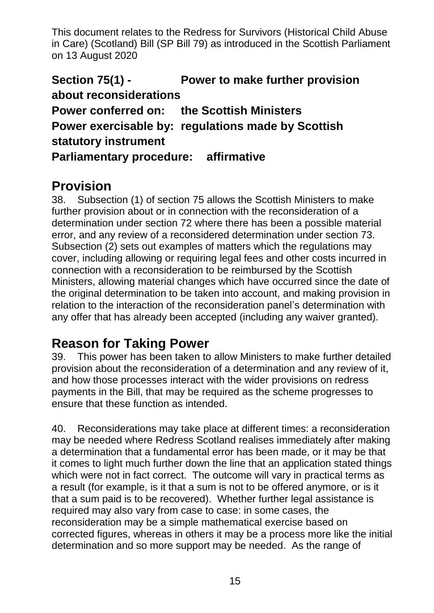**Section 75(1) - Power to make further provision about reconsiderations Power conferred on: the Scottish Ministers Power exercisable by: regulations made by Scottish statutory instrument Parliamentary procedure: affirmative**

#### **Provision**

38. Subsection (1) of section 75 allows the Scottish Ministers to make further provision about or in connection with the reconsideration of a determination under section 72 where there has been a possible material error, and any review of a reconsidered determination under section 73. Subsection (2) sets out examples of matters which the regulations may cover, including allowing or requiring legal fees and other costs incurred in connection with a reconsideration to be reimbursed by the Scottish Ministers, allowing material changes which have occurred since the date of the original determination to be taken into account, and making provision in relation to the interaction of the reconsideration panel's determination with any offer that has already been accepted (including any waiver granted).

### **Reason for Taking Power**

39. This power has been taken to allow Ministers to make further detailed provision about the reconsideration of a determination and any review of it, and how those processes interact with the wider provisions on redress payments in the Bill, that may be required as the scheme progresses to ensure that these function as intended.

40. Reconsiderations may take place at different times: a reconsideration may be needed where Redress Scotland realises immediately after making a determination that a fundamental error has been made, or it may be that it comes to light much further down the line that an application stated things which were not in fact correct. The outcome will vary in practical terms as a result (for example, is it that a sum is not to be offered anymore, or is it that a sum paid is to be recovered). Whether further legal assistance is required may also vary from case to case: in some cases, the reconsideration may be a simple mathematical exercise based on corrected figures, whereas in others it may be a process more like the initial determination and so more support may be needed. As the range of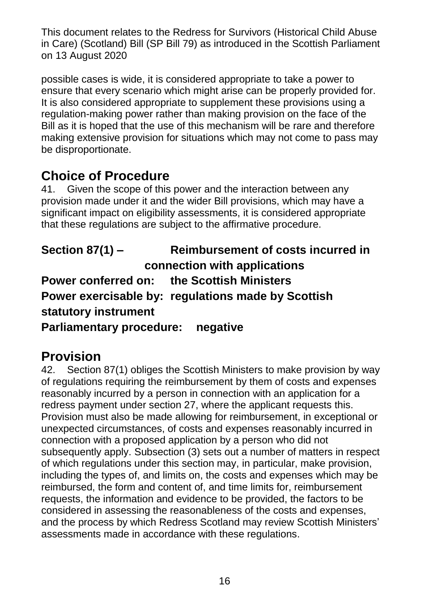possible cases is wide, it is considered appropriate to take a power to ensure that every scenario which might arise can be properly provided for. It is also considered appropriate to supplement these provisions using a regulation-making power rather than making provision on the face of the Bill as it is hoped that the use of this mechanism will be rare and therefore making extensive provision for situations which may not come to pass may be disproportionate.

### **Choice of Procedure**

41. Given the scope of this power and the interaction between any provision made under it and the wider Bill provisions, which may have a significant impact on eligibility assessments, it is considered appropriate that these regulations are subject to the affirmative procedure.

**Section 87(1) – Reimbursement of costs incurred in connection with applications Power conferred on: the Scottish Ministers Power exercisable by: regulations made by Scottish statutory instrument Parliamentary procedure: negative** 

### **Provision**

42. Section 87(1) obliges the Scottish Ministers to make provision by way of regulations requiring the reimbursement by them of costs and expenses reasonably incurred by a person in connection with an application for a redress payment under section 27, where the applicant requests this. Provision must also be made allowing for reimbursement, in exceptional or unexpected circumstances, of costs and expenses reasonably incurred in connection with a proposed application by a person who did not subsequently apply. Subsection (3) sets out a number of matters in respect of which regulations under this section may, in particular, make provision, including the types of, and limits on, the costs and expenses which may be reimbursed, the form and content of, and time limits for, reimbursement requests, the information and evidence to be provided, the factors to be considered in assessing the reasonableness of the costs and expenses, and the process by which Redress Scotland may review Scottish Ministers' assessments made in accordance with these regulations.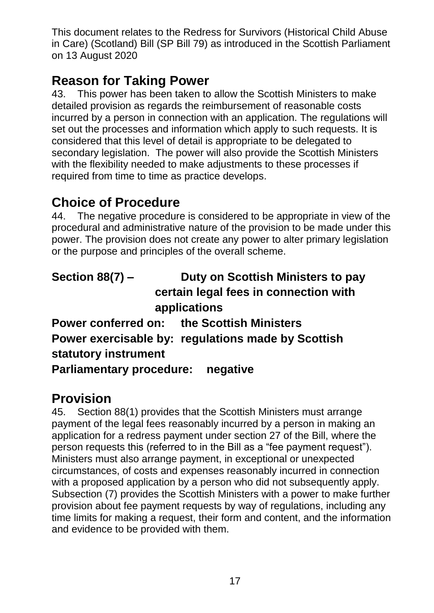### **Reason for Taking Power**

43. This power has been taken to allow the Scottish Ministers to make detailed provision as regards the reimbursement of reasonable costs incurred by a person in connection with an application. The regulations will set out the processes and information which apply to such requests. It is considered that this level of detail is appropriate to be delegated to secondary legislation. The power will also provide the Scottish Ministers with the flexibility needed to make adjustments to these processes if required from time to time as practice develops.

### **Choice of Procedure**

44. The negative procedure is considered to be appropriate in view of the procedural and administrative nature of the provision to be made under this power. The provision does not create any power to alter primary legislation or the purpose and principles of the overall scheme.

| <b>Section 88(7) –</b>            | Duty on Scottish Ministers to pay                  |
|-----------------------------------|----------------------------------------------------|
|                                   | certain legal fees in connection with              |
|                                   | applications                                       |
|                                   | <b>Power conferred on: the Scottish Ministers</b>  |
|                                   | Power exercisable by: regulations made by Scottish |
| statutory instrument              |                                                    |
| Parliamentary procedure: negative |                                                    |

## **Provision**

45. Section 88(1) provides that the Scottish Ministers must arrange payment of the legal fees reasonably incurred by a person in making an application for a redress payment under section 27 of the Bill, where the person requests this (referred to in the Bill as a "fee payment request"). Ministers must also arrange payment, in exceptional or unexpected circumstances, of costs and expenses reasonably incurred in connection with a proposed application by a person who did not subsequently apply. Subsection (7) provides the Scottish Ministers with a power to make further provision about fee payment requests by way of regulations, including any time limits for making a request, their form and content, and the information and evidence to be provided with them.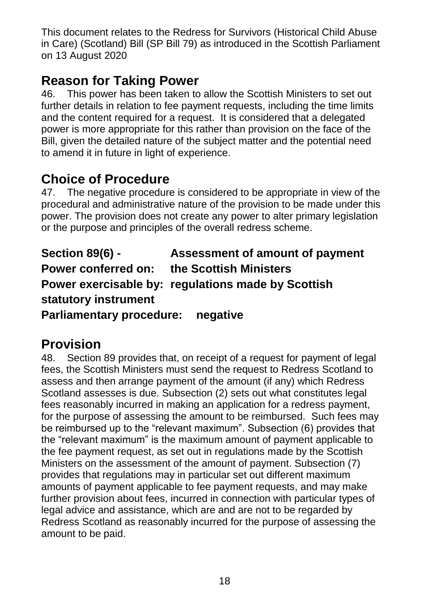## **Reason for Taking Power**

46. This power has been taken to allow the Scottish Ministers to set out further details in relation to fee payment requests, including the time limits and the content required for a request. It is considered that a delegated power is more appropriate for this rather than provision on the face of the Bill, given the detailed nature of the subject matter and the potential need to amend it in future in light of experience.

## **Choice of Procedure**

47. The negative procedure is considered to be appropriate in view of the procedural and administrative nature of the provision to be made under this power. The provision does not create any power to alter primary legislation or the purpose and principles of the overall redress scheme.

**Section 89(6) - Assessment of amount of payment Power conferred on: the Scottish Ministers Power exercisable by: regulations made by Scottish statutory instrument Parliamentary procedure: negative** 

## **Provision**

48. Section 89 provides that, on receipt of a request for payment of legal fees, the Scottish Ministers must send the request to Redress Scotland to assess and then arrange payment of the amount (if any) which Redress Scotland assesses is due. Subsection (2) sets out what constitutes legal fees reasonably incurred in making an application for a redress payment, for the purpose of assessing the amount to be reimbursed. Such fees may be reimbursed up to the "relevant maximum". Subsection (6) provides that the "relevant maximum" is the maximum amount of payment applicable to the fee payment request, as set out in regulations made by the Scottish Ministers on the assessment of the amount of payment. Subsection (7) provides that regulations may in particular set out different maximum amounts of payment applicable to fee payment requests, and may make further provision about fees, incurred in connection with particular types of legal advice and assistance, which are and are not to be regarded by Redress Scotland as reasonably incurred for the purpose of assessing the amount to be paid.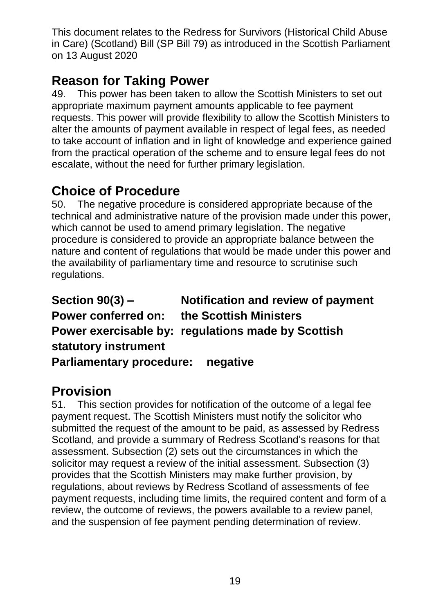## **Reason for Taking Power**

49. This power has been taken to allow the Scottish Ministers to set out appropriate maximum payment amounts applicable to fee payment requests. This power will provide flexibility to allow the Scottish Ministers to alter the amounts of payment available in respect of legal fees, as needed to take account of inflation and in light of knowledge and experience gained from the practical operation of the scheme and to ensure legal fees do not escalate, without the need for further primary legislation.

## **Choice of Procedure**

50. The negative procedure is considered appropriate because of the technical and administrative nature of the provision made under this power, which cannot be used to amend primary legislation. The negative procedure is considered to provide an appropriate balance between the nature and content of regulations that would be made under this power and the availability of parliamentary time and resource to scrutinise such regulations.

**Section 90(3) – Notification and review of payment Power conferred on: the Scottish Ministers Power exercisable by: regulations made by Scottish statutory instrument Parliamentary procedure: negative**

## **Provision**

51. This section provides for notification of the outcome of a legal fee payment request. The Scottish Ministers must notify the solicitor who submitted the request of the amount to be paid, as assessed by Redress Scotland, and provide a summary of Redress Scotland's reasons for that assessment. Subsection (2) sets out the circumstances in which the solicitor may request a review of the initial assessment. Subsection (3) provides that the Scottish Ministers may make further provision, by regulations, about reviews by Redress Scotland of assessments of fee payment requests, including time limits, the required content and form of a review, the outcome of reviews, the powers available to a review panel, and the suspension of fee payment pending determination of review.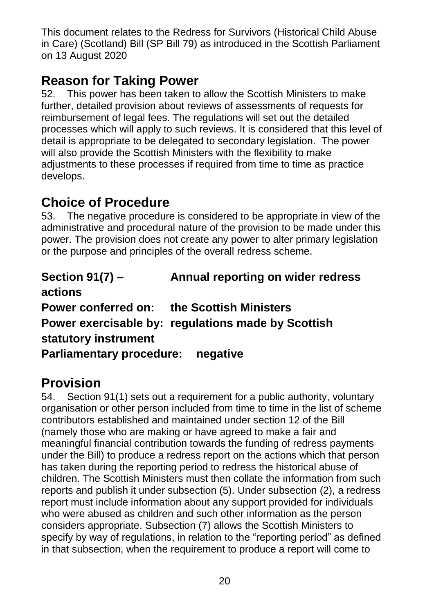### **Reason for Taking Power**

52. This power has been taken to allow the Scottish Ministers to make further, detailed provision about reviews of assessments of requests for reimbursement of legal fees. The regulations will set out the detailed processes which will apply to such reviews. It is considered that this level of detail is appropriate to be delegated to secondary legislation. The power will also provide the Scottish Ministers with the flexibility to make adjustments to these processes if required from time to time as practice develops.

### **Choice of Procedure**

53. The negative procedure is considered to be appropriate in view of the administrative and procedural nature of the provision to be made under this power. The provision does not create any power to alter primary legislation or the purpose and principles of the overall redress scheme.

| Section $91(7)$ –                                 | Annual reporting on wider redress                  |
|---------------------------------------------------|----------------------------------------------------|
| actions                                           |                                                    |
| <b>Power conferred on: the Scottish Ministers</b> |                                                    |
|                                                   | Power exercisable by: regulations made by Scottish |
| statutory instrument                              |                                                    |
| <b>Parliamentary procedure:</b>                   | negative                                           |

## **Provision**

54. Section 91(1) sets out a requirement for a public authority, voluntary organisation or other person included from time to time in the list of scheme contributors established and maintained under section 12 of the Bill (namely those who are making or have agreed to make a fair and meaningful financial contribution towards the funding of redress payments under the Bill) to produce a redress report on the actions which that person has taken during the reporting period to redress the historical abuse of children. The Scottish Ministers must then collate the information from such reports and publish it under subsection (5). Under subsection (2), a redress report must include information about any support provided for individuals who were abused as children and such other information as the person considers appropriate. Subsection (7) allows the Scottish Ministers to specify by way of regulations, in relation to the "reporting period" as defined in that subsection, when the requirement to produce a report will come to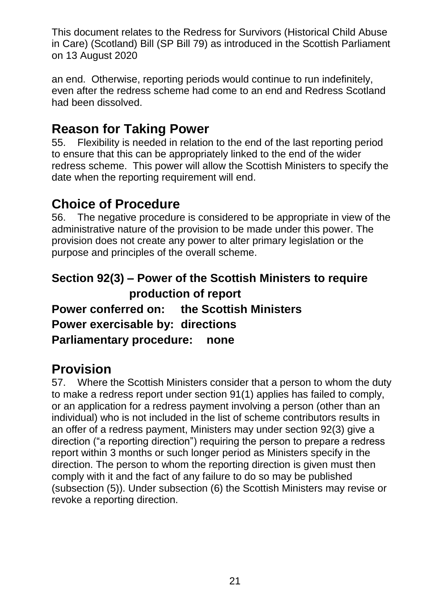an end. Otherwise, reporting periods would continue to run indefinitely, even after the redress scheme had come to an end and Redress Scotland had been dissolved.

### **Reason for Taking Power**

55. Flexibility is needed in relation to the end of the last reporting period to ensure that this can be appropriately linked to the end of the wider redress scheme. This power will allow the Scottish Ministers to specify the date when the reporting requirement will end.

### **Choice of Procedure**

56. The negative procedure is considered to be appropriate in view of the administrative nature of the provision to be made under this power. The provision does not create any power to alter primary legislation or the purpose and principles of the overall scheme.

#### **Section 92(3) – Power of the Scottish Ministers to require production of report**

**Power conferred on: the Scottish Ministers Power exercisable by: directions**

**Parliamentary procedure: none**

### **Provision**

57. Where the Scottish Ministers consider that a person to whom the duty to make a redress report under section 91(1) applies has failed to comply, or an application for a redress payment involving a person (other than an individual) who is not included in the list of scheme contributors results in an offer of a redress payment, Ministers may under section 92(3) give a direction ("a reporting direction") requiring the person to prepare a redress report within 3 months or such longer period as Ministers specify in the direction. The person to whom the reporting direction is given must then comply with it and the fact of any failure to do so may be published (subsection (5)). Under subsection (6) the Scottish Ministers may revise or revoke a reporting direction.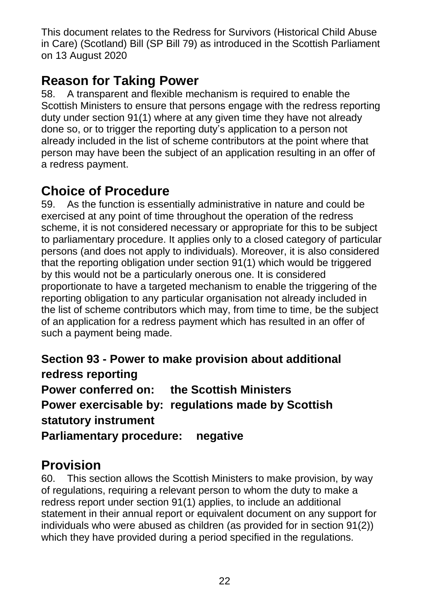### **Reason for Taking Power**

58. A transparent and flexible mechanism is required to enable the Scottish Ministers to ensure that persons engage with the redress reporting duty under section 91(1) where at any given time they have not already done so, or to trigger the reporting duty's application to a person not already included in the list of scheme contributors at the point where that person may have been the subject of an application resulting in an offer of a redress payment.

### **Choice of Procedure**

59. As the function is essentially administrative in nature and could be exercised at any point of time throughout the operation of the redress scheme, it is not considered necessary or appropriate for this to be subject to parliamentary procedure. It applies only to a closed category of particular persons (and does not apply to individuals). Moreover, it is also considered that the reporting obligation under section 91(1) which would be triggered by this would not be a particularly onerous one. It is considered proportionate to have a targeted mechanism to enable the triggering of the reporting obligation to any particular organisation not already included in the list of scheme contributors which may, from time to time, be the subject of an application for a redress payment which has resulted in an offer of such a payment being made.

**Section 93 - Power to make provision about additional redress reporting Power conferred on: the Scottish Ministers Power exercisable by: regulations made by Scottish statutory instrument Parliamentary procedure: negative**

### **Provision**

60. This section allows the Scottish Ministers to make provision, by way of regulations, requiring a relevant person to whom the duty to make a redress report under section 91(1) applies, to include an additional statement in their annual report or equivalent document on any support for individuals who were abused as children (as provided for in section 91(2)) which they have provided during a period specified in the regulations.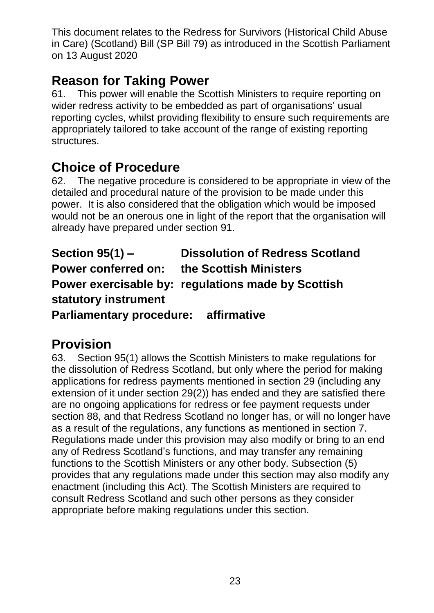### **Reason for Taking Power**

61. This power will enable the Scottish Ministers to require reporting on wider redress activity to be embedded as part of organisations' usual reporting cycles, whilst providing flexibility to ensure such requirements are appropriately tailored to take account of the range of existing reporting structures.

### **Choice of Procedure**

62. The negative procedure is considered to be appropriate in view of the detailed and procedural nature of the provision to be made under this power. It is also considered that the obligation which would be imposed would not be an onerous one in light of the report that the organisation will already have prepared under section 91.

**Section 95(1) – Dissolution of Redress Scotland Power conferred on: the Scottish Ministers Power exercisable by: regulations made by Scottish statutory instrument Parliamentary procedure: affirmative**

## **Provision**

63. Section 95(1) allows the Scottish Ministers to make regulations for the dissolution of Redress Scotland, but only where the period for making applications for redress payments mentioned in section 29 (including any extension of it under section 29(2)) has ended and they are satisfied there are no ongoing applications for redress or fee payment requests under section 88, and that Redress Scotland no longer has, or will no longer have as a result of the regulations, any functions as mentioned in section 7. Regulations made under this provision may also modify or bring to an end any of Redress Scotland's functions, and may transfer any remaining functions to the Scottish Ministers or any other body. Subsection (5) provides that any regulations made under this section may also modify any enactment (including this Act). The Scottish Ministers are required to consult Redress Scotland and such other persons as they consider appropriate before making regulations under this section.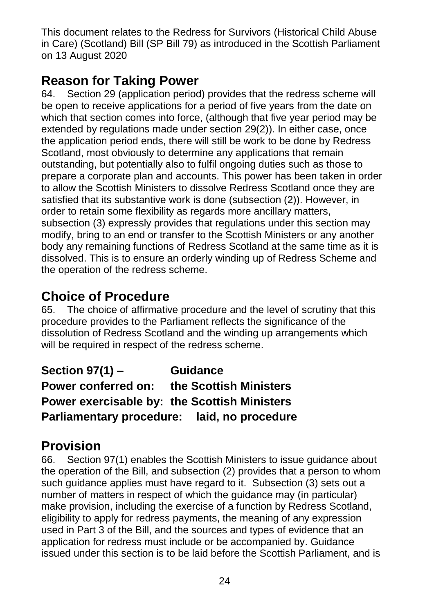### **Reason for Taking Power**

64. Section 29 (application period) provides that the redress scheme will be open to receive applications for a period of five years from the date on which that section comes into force, (although that five year period may be extended by regulations made under section 29(2)). In either case, once the application period ends, there will still be work to be done by Redress Scotland, most obviously to determine any applications that remain outstanding, but potentially also to fulfil ongoing duties such as those to prepare a corporate plan and accounts. This power has been taken in order to allow the Scottish Ministers to dissolve Redress Scotland once they are satisfied that its substantive work is done (subsection (2)). However, in order to retain some flexibility as regards more ancillary matters, subsection (3) expressly provides that regulations under this section may modify, bring to an end or transfer to the Scottish Ministers or any another body any remaining functions of Redress Scotland at the same time as it is dissolved. This is to ensure an orderly winding up of Redress Scheme and the operation of the redress scheme.

## **Choice of Procedure**

65. The choice of affirmative procedure and the level of scrutiny that this procedure provides to the Parliament reflects the significance of the dissolution of Redress Scotland and the winding up arrangements which will be required in respect of the redress scheme.

**Section 97(1) – Guidance Power conferred on: the Scottish Ministers Power exercisable by: the Scottish Ministers Parliamentary procedure: laid, no procedure**

## **Provision**

66. Section 97(1) enables the Scottish Ministers to issue guidance about the operation of the Bill, and subsection (2) provides that a person to whom such guidance applies must have regard to it. Subsection (3) sets out a number of matters in respect of which the guidance may (in particular) make provision, including the exercise of a function by Redress Scotland, eligibility to apply for redress payments, the meaning of any expression used in Part 3 of the Bill, and the sources and types of evidence that an application for redress must include or be accompanied by. Guidance issued under this section is to be laid before the Scottish Parliament, and is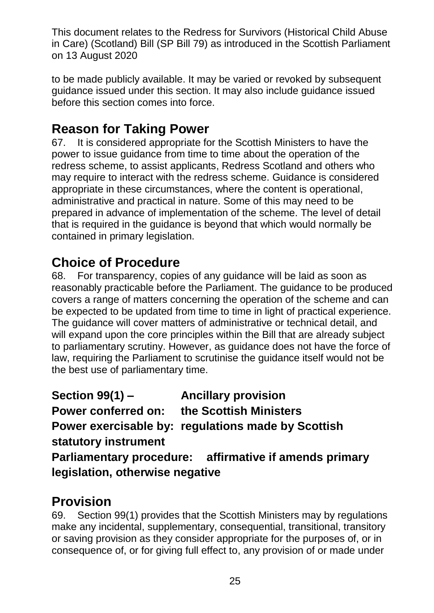to be made publicly available. It may be varied or revoked by subsequent guidance issued under this section. It may also include guidance issued before this section comes into force.

### **Reason for Taking Power**

67. It is considered appropriate for the Scottish Ministers to have the power to issue guidance from time to time about the operation of the redress scheme, to assist applicants, Redress Scotland and others who may require to interact with the redress scheme. Guidance is considered appropriate in these circumstances, where the content is operational, administrative and practical in nature. Some of this may need to be prepared in advance of implementation of the scheme. The level of detail that is required in the guidance is beyond that which would normally be contained in primary legislation.

## **Choice of Procedure**

68. For transparency, copies of any guidance will be laid as soon as reasonably practicable before the Parliament. The guidance to be produced covers a range of matters concerning the operation of the scheme and can be expected to be updated from time to time in light of practical experience. The guidance will cover matters of administrative or technical detail, and will expand upon the core principles within the Bill that are already subject to parliamentary scrutiny. However, as guidance does not have the force of law, requiring the Parliament to scrutinise the guidance itself would not be the best use of parliamentary time.

**Section 99(1) – Ancillary provision Power conferred on: the Scottish Ministers Power exercisable by: regulations made by Scottish statutory instrument Parliamentary procedure: affirmative if amends primary legislation, otherwise negative**

### **Provision**

69. Section 99(1) provides that the Scottish Ministers may by regulations make any incidental, supplementary, consequential, transitional, transitory or saving provision as they consider appropriate for the purposes of, or in consequence of, or for giving full effect to, any provision of or made under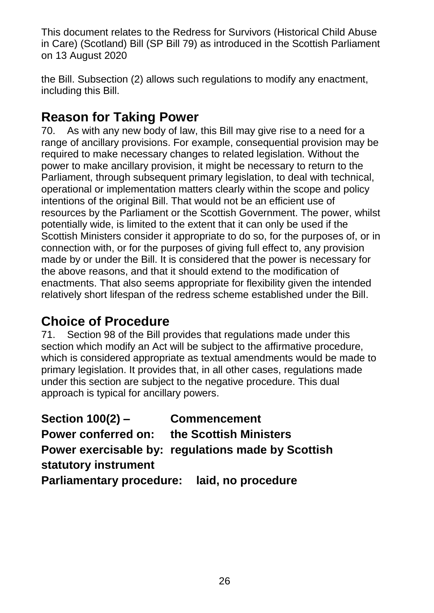the Bill. Subsection (2) allows such regulations to modify any enactment, including this Bill.

### **Reason for Taking Power**

70. As with any new body of law, this Bill may give rise to a need for a range of ancillary provisions. For example, consequential provision may be required to make necessary changes to related legislation. Without the power to make ancillary provision, it might be necessary to return to the Parliament, through subsequent primary legislation, to deal with technical, operational or implementation matters clearly within the scope and policy intentions of the original Bill. That would not be an efficient use of resources by the Parliament or the Scottish Government. The power, whilst potentially wide, is limited to the extent that it can only be used if the Scottish Ministers consider it appropriate to do so, for the purposes of, or in connection with, or for the purposes of giving full effect to, any provision made by or under the Bill. It is considered that the power is necessary for the above reasons, and that it should extend to the modification of enactments. That also seems appropriate for flexibility given the intended relatively short lifespan of the redress scheme established under the Bill.

### **Choice of Procedure**

71. Section 98 of the Bill provides that regulations made under this section which modify an Act will be subject to the affirmative procedure, which is considered appropriate as textual amendments would be made to primary legislation. It provides that, in all other cases, regulations made under this section are subject to the negative procedure. This dual approach is typical for ancillary powers.

**Section 100(2) – Commencement Power conferred on: the Scottish Ministers Power exercisable by: regulations made by Scottish statutory instrument Parliamentary procedure: laid, no procedure**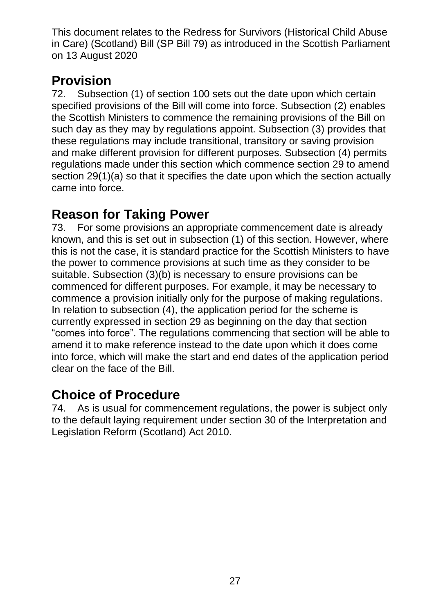## **Provision**

72. Subsection (1) of section 100 sets out the date upon which certain specified provisions of the Bill will come into force. Subsection (2) enables the Scottish Ministers to commence the remaining provisions of the Bill on such day as they may by regulations appoint. Subsection (3) provides that these regulations may include transitional, transitory or saving provision and make different provision for different purposes. Subsection (4) permits regulations made under this section which commence section 29 to amend section 29(1)(a) so that it specifies the date upon which the section actually came into force.

#### **Reason for Taking Power**

73. For some provisions an appropriate commencement date is already known, and this is set out in subsection (1) of this section. However, where this is not the case, it is standard practice for the Scottish Ministers to have the power to commence provisions at such time as they consider to be suitable. Subsection (3)(b) is necessary to ensure provisions can be commenced for different purposes. For example, it may be necessary to commence a provision initially only for the purpose of making regulations. In relation to subsection (4), the application period for the scheme is currently expressed in section 29 as beginning on the day that section "comes into force". The regulations commencing that section will be able to amend it to make reference instead to the date upon which it does come into force, which will make the start and end dates of the application period clear on the face of the Bill.

#### **Choice of Procedure**

74. As is usual for commencement regulations, the power is subject only to the default laying requirement under section 30 of the Interpretation and Legislation Reform (Scotland) Act 2010.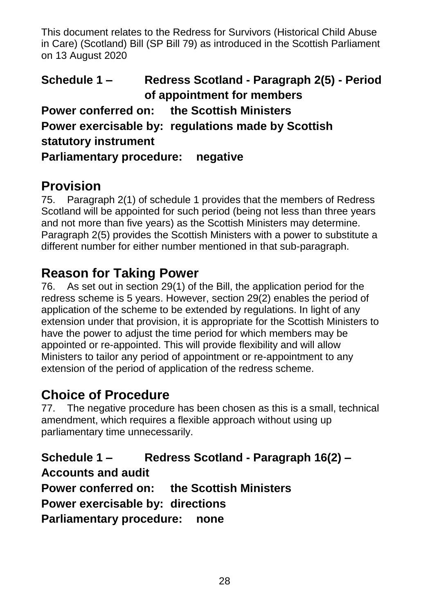**Schedule 1 – Redress Scotland - Paragraph 2(5) - Period of appointment for members Power conferred on: the Scottish Ministers Power exercisable by: regulations made by Scottish statutory instrument Parliamentary procedure: negative**

### **Provision**

75. Paragraph 2(1) of schedule 1 provides that the members of Redress Scotland will be appointed for such period (being not less than three years and not more than five years) as the Scottish Ministers may determine. Paragraph 2(5) provides the Scottish Ministers with a power to substitute a different number for either number mentioned in that sub-paragraph.

### **Reason for Taking Power**

76. As set out in section 29(1) of the Bill, the application period for the redress scheme is 5 years. However, section 29(2) enables the period of application of the scheme to be extended by regulations. In light of any extension under that provision, it is appropriate for the Scottish Ministers to have the power to adjust the time period for which members may be appointed or re-appointed. This will provide flexibility and will allow Ministers to tailor any period of appointment or re-appointment to any extension of the period of application of the redress scheme.

## **Choice of Procedure**

77. The negative procedure has been chosen as this is a small, technical amendment, which requires a flexible approach without using up parliamentary time unnecessarily.

**Schedule 1 – Redress Scotland - Paragraph 16(2) – Accounts and audit Power conferred on: the Scottish Ministers Power exercisable by: directions Parliamentary procedure: none**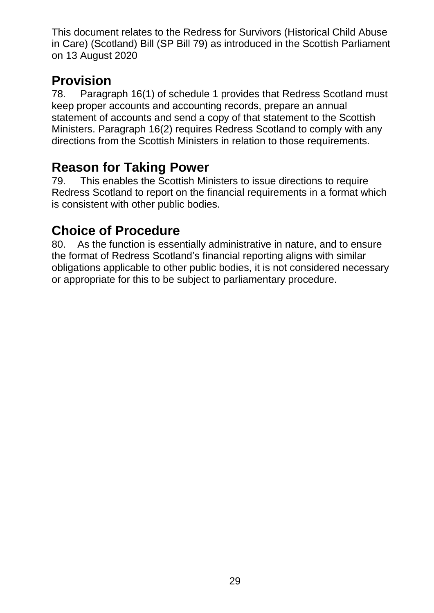#### **Provision**

78. Paragraph 16(1) of schedule 1 provides that Redress Scotland must keep proper accounts and accounting records, prepare an annual statement of accounts and send a copy of that statement to the Scottish Ministers. Paragraph 16(2) requires Redress Scotland to comply with any directions from the Scottish Ministers in relation to those requirements.

#### **Reason for Taking Power**

79. This enables the Scottish Ministers to issue directions to require Redress Scotland to report on the financial requirements in a format which is consistent with other public bodies.

### **Choice of Procedure**

80. As the function is essentially administrative in nature, and to ensure the format of Redress Scotland's financial reporting aligns with similar obligations applicable to other public bodies, it is not considered necessary or appropriate for this to be subject to parliamentary procedure.